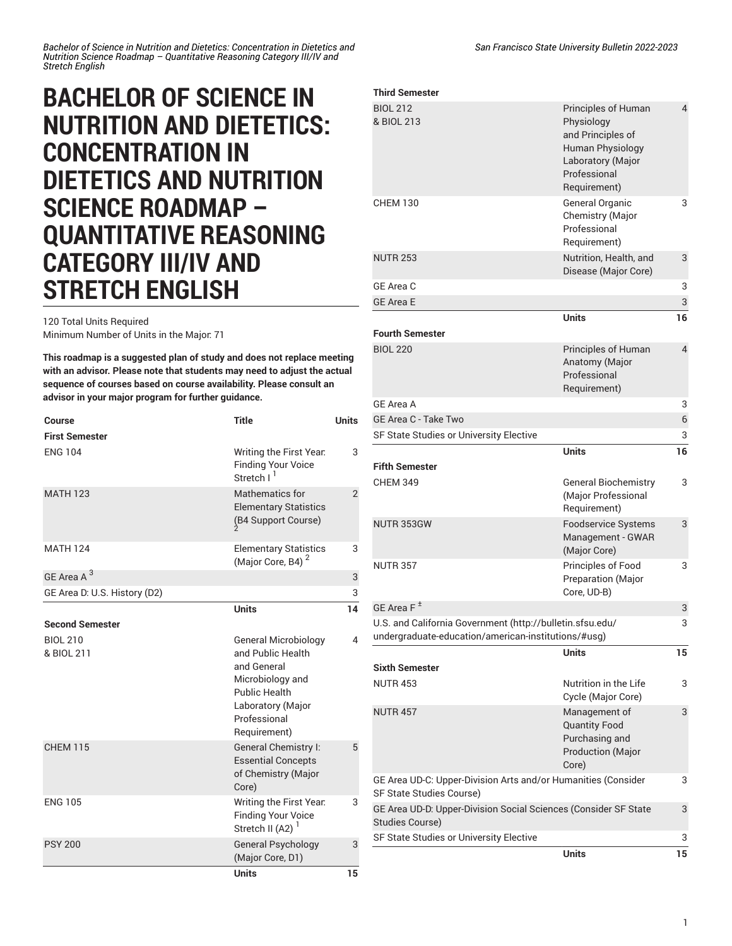*Bachelor of Science in Nutrition and Dietetics: Concentration in Dietetics and Nutrition Science Roadmap – Quantitative Reasoning Category III/IV and Stretch English*

## **BACHELOR OF SCIENCE IN NUTRITION AND DIETETICS: CONCENTRATION IN DIETETICS AND NUTRITION SCIENCE ROADMAP – QUANTITATIVE REASONING CATEGORY III/IV AND STRETCH ENGLISH**

120 Total Units Required

Minimum Number of Units in the Major: 71

**This roadmap is a suggested plan of study and does not replace meeting with an advisor. Please note that students may need to adjust the actual sequence of courses based on course availability. Please consult an advisor in your major program for further guidance.**

| Course                        | <b>Title</b>                                                                                                                                                     | <b>Units</b>   |
|-------------------------------|------------------------------------------------------------------------------------------------------------------------------------------------------------------|----------------|
| <b>First Semester</b>         |                                                                                                                                                                  |                |
| <b>ENG 104</b>                | Writing the First Year.<br><b>Finding Your Voice</b><br>Stretch I <sup>1</sup>                                                                                   | 3              |
| <b>MATH 123</b>               | Mathematics for<br><b>Elementary Statistics</b><br>(B4 Support Course)                                                                                           | $\overline{2}$ |
| <b>MATH 124</b>               | <b>Elementary Statistics</b><br>(Major Core, B4) <sup>2</sup>                                                                                                    | 3              |
| GE Area A <sup>3</sup>        |                                                                                                                                                                  | 3              |
| GE Area D: U.S. History (D2)  |                                                                                                                                                                  | 3              |
|                               | <b>Units</b>                                                                                                                                                     | 14             |
| Second Semester               |                                                                                                                                                                  |                |
| <b>BIOL 210</b><br>& BIOL 211 | <b>General Microbiology</b><br>and Public Health<br>and General<br>Microbiology and<br><b>Public Health</b><br>Laboratory (Major<br>Professional<br>Requirement) | 4              |
| <b>CHEM 115</b>               | General Chemistry I:<br><b>Essential Concepts</b><br>of Chemistry (Major<br>Core)                                                                                | 5              |
| <b>ENG 105</b>                | Writing the First Year.<br><b>Finding Your Voice</b><br>Stretch II (A2) <sup>1</sup>                                                                             | 3              |
| <b>PSY 200</b>                | General Psychology<br>(Major Core, D1)                                                                                                                           | 3              |
|                               | <b>Units</b>                                                                                                                                                     | 15             |

| <b>Third Semester</b>                                                                                            |                                                                                                                                 |    |
|------------------------------------------------------------------------------------------------------------------|---------------------------------------------------------------------------------------------------------------------------------|----|
| <b>BIOL 212</b><br>& BIOL 213                                                                                    | Principles of Human<br>Physiology<br>and Principles of<br>Human Physiology<br>Laboratory (Major<br>Professional<br>Requirement) | 4  |
| <b>CHEM 130</b>                                                                                                  | General Organic<br>Chemistry (Major<br>Professional<br>Requirement)                                                             | 3  |
| <b>NUTR 253</b>                                                                                                  | Nutrition, Health, and<br>Disease (Major Core)                                                                                  | 3  |
| GE Area C                                                                                                        |                                                                                                                                 | 3  |
| <b>GE Area E</b>                                                                                                 |                                                                                                                                 | 3  |
| <b>Fourth Semester</b>                                                                                           | <b>Units</b>                                                                                                                    | 16 |
| <b>BIOL 220</b>                                                                                                  | Principles of Human<br>Anatomy (Major<br>Professional<br>Requirement)                                                           | 4  |
| GE Area A                                                                                                        |                                                                                                                                 | 3  |
| GE Area C - Take Two                                                                                             |                                                                                                                                 | 6  |
| SF State Studies or University Elective                                                                          |                                                                                                                                 | 3  |
|                                                                                                                  | <b>Units</b>                                                                                                                    | 16 |
| <b>Fifth Semester</b>                                                                                            |                                                                                                                                 |    |
| <b>CHEM 349</b>                                                                                                  | <b>General Biochemistry</b><br>(Major Professional<br>Requirement)                                                              | 3  |
| NUTR 353GW                                                                                                       | <b>Foodservice Systems</b><br>Management - GWAR<br>(Major Core)                                                                 | 3  |
| <b>NUTR 357</b>                                                                                                  | Principles of Food<br><b>Preparation (Major</b><br>Core, UD-B)                                                                  | 3  |
| GE Area F <sup>±</sup>                                                                                           |                                                                                                                                 | 3  |
| U.S. and California Government (http://bulletin.sfsu.edu/<br>undergraduate-education/american-institutions/#usg) |                                                                                                                                 | 3  |
| <b>Sixth Semester</b>                                                                                            | <b>Units</b>                                                                                                                    | 15 |
| <b>NUTR 453</b>                                                                                                  | Nutrition in the Life<br>Cycle (Major Core)                                                                                     | 3  |
| <b>NUTR 457</b>                                                                                                  | Management of<br><b>Quantity Food</b><br>Purchasing and<br><b>Production (Major</b><br>Core)                                    | 3  |
|                                                                                                                  |                                                                                                                                 |    |
| GE Area UD-C: Upper-Division Arts and/or Humanities (Consider<br>SF State Studies Course)                        |                                                                                                                                 | 3  |
| GE Area UD-D: Upper-Division Social Sciences (Consider SF State<br>Studies Course)                               |                                                                                                                                 | 3  |
| SF State Studies or University Elective                                                                          |                                                                                                                                 | 3  |